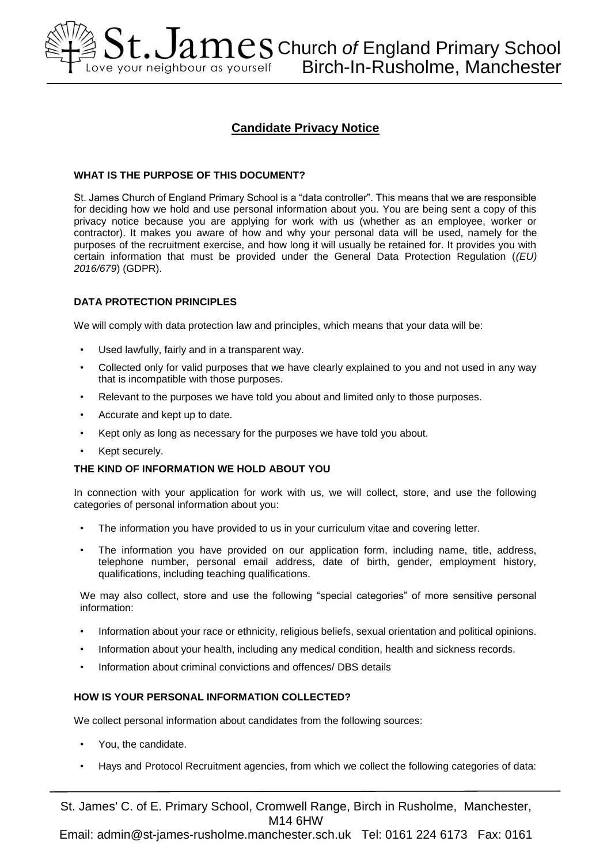# $\AA\,\text{St.}$  J $\lambda\,\text{mes}$  Church *of* England Primary School Love your neighbour as yourself Birch-In-Rusholme, Manchester

# **Candidate Privacy Notice**

# **WHAT IS THE PURPOSE OF THIS DOCUMENT?**

St. James Church of England Primary School is a "data controller". This means that we are responsible for deciding how we hold and use personal information about you. You are being sent a copy of this privacy notice because you are applying for work with us (whether as an employee, worker or contractor). It makes you aware of how and why your personal data will be used, namely for the purposes of the recruitment exercise, and how long it will usually be retained for. It provides you with certain information that must be provided under the General Data Protection Regulation (*(EU) 2016/679*) (GDPR).

# **DATA PROTECTION PRINCIPLES**

We will comply with data protection law and principles, which means that your data will be:

- Used lawfully, fairly and in a transparent way.
- Collected only for valid purposes that we have clearly explained to you and not used in any way that is incompatible with those purposes.
- Relevant to the purposes we have told you about and limited only to those purposes.
- Accurate and kept up to date.
- Kept only as long as necessary for the purposes we have told you about.
- Kept securely.

# **THE KIND OF INFORMATION WE HOLD ABOUT YOU**

In connection with your application for work with us, we will collect, store, and use the following categories of personal information about you:

- The information you have provided to us in your curriculum vitae and covering letter.
- The information you have provided on our application form, including name, title, address, telephone number, personal email address, date of birth, gender, employment history, qualifications, including teaching qualifications.

We may also collect, store and use the following "special categories" of more sensitive personal information:

- Information about your race or ethnicity, religious beliefs, sexual orientation and political opinions.
- Information about your health, including any medical condition, health and sickness records.
- Information about criminal convictions and offences/ DBS details

# **HOW IS YOUR PERSONAL INFORMATION COLLECTED?**

We collect personal information about candidates from the following sources:

- You, the candidate.
- Hays and Protocol Recruitment agencies, from which we collect the following categories of data:

St. James' C. of E. Primary School, Cromwell Range, Birch in Rusholme, Manchester, M14 6HW

Email: admin@st-james-rusholme.manchester.sch.uk Tel: 0161 224 6173 Fax: 0161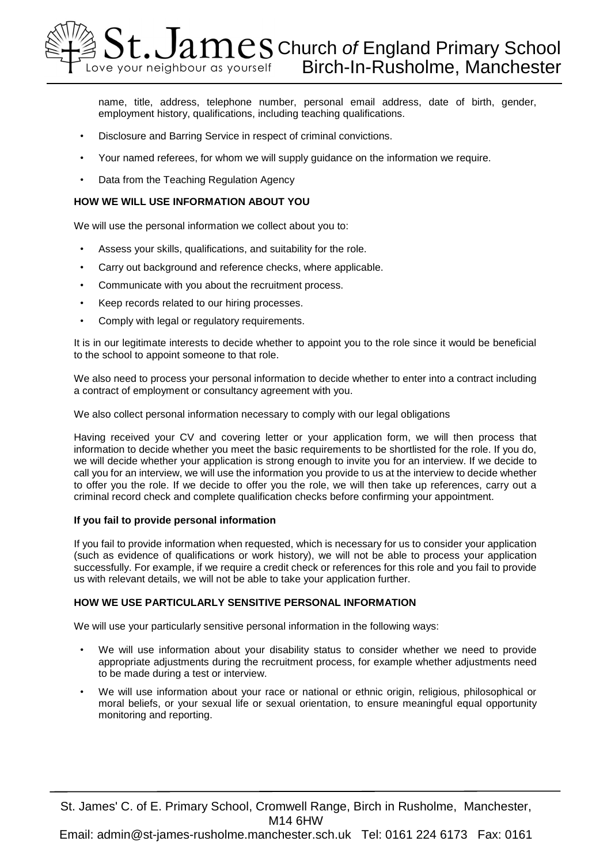

name, title, address, telephone number, personal email address, date of birth, gender, employment history, qualifications, including teaching qualifications.

- Disclosure and Barring Service in respect of criminal convictions.
- Your named referees, for whom we will supply guidance on the information we require.
- Data from the Teaching Regulation Agency

#### **HOW WE WILL USE INFORMATION ABOUT YOU**

We will use the personal information we collect about you to:

- Assess your skills, qualifications, and suitability for the role.
- Carry out background and reference checks, where applicable.
- Communicate with you about the recruitment process.
- Keep records related to our hiring processes.
- Comply with legal or regulatory requirements.

It is in our legitimate interests to decide whether to appoint you to the role since it would be beneficial to the school to appoint someone to that role.

We also need to process your personal information to decide whether to enter into a contract including a contract of employment or consultancy agreement with you.

We also collect personal information necessary to comply with our legal obligations

Having received your CV and covering letter or your application form, we will then process that information to decide whether you meet the basic requirements to be shortlisted for the role. If you do, we will decide whether your application is strong enough to invite you for an interview. If we decide to call you for an interview, we will use the information you provide to us at the interview to decide whether to offer you the role. If we decide to offer you the role, we will then take up references, carry out a criminal record check and complete qualification checks before confirming your appointment.

#### **If you fail to provide personal information**

If you fail to provide information when requested, which is necessary for us to consider your application (such as evidence of qualifications or work history), we will not be able to process your application successfully. For example, if we require a credit check or references for this role and you fail to provide us with relevant details, we will not be able to take your application further.

# **HOW WE USE PARTICULARLY SENSITIVE PERSONAL INFORMATION**

We will use your particularly sensitive personal information in the following ways:

- We will use information about your disability status to consider whether we need to provide appropriate adjustments during the recruitment process, for example whether adjustments need to be made during a test or interview.
- We will use information about your race or national or ethnic origin, religious, philosophical or moral beliefs, or your sexual life or sexual orientation, to ensure meaningful equal opportunity monitoring and reporting.

St. James' C. of E. Primary School, Cromwell Range, Birch in Rusholme, Manchester, M14 6HW Email: admin@st-james-rusholme.manchester.sch.uk Tel: 0161 224 6173 Fax: 0161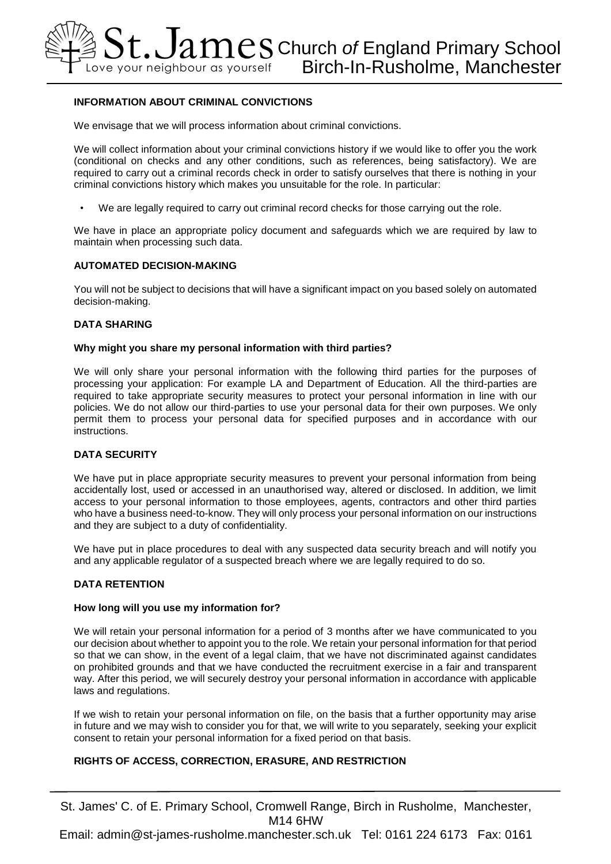# **INFORMATION ABOUT CRIMINAL CONVICTIONS**

We envisage that we will process information about criminal convictions.

We will collect information about your criminal convictions history if we would like to offer you the work (conditional on checks and any other conditions, such as references, being satisfactory). We are required to carry out a criminal records check in order to satisfy ourselves that there is nothing in your criminal convictions history which makes you unsuitable for the role. In particular:

• We are legally required to carry out criminal record checks for those carrying out the role.

We have in place an appropriate policy document and safeguards which we are required by law to maintain when processing such data.

# **AUTOMATED DECISION-MAKING**

You will not be subject to decisions that will have a significant impact on you based solely on automated decision-making.

#### **DATA SHARING**

#### **Why might you share my personal information with third parties?**

We will only share your personal information with the following third parties for the purposes of processing your application: For example LA and Department of Education. All the third-parties are required to take appropriate security measures to protect your personal information in line with our policies. We do not allow our third-parties to use your personal data for their own purposes. We only permit them to process your personal data for specified purposes and in accordance with our instructions.

#### **DATA SECURITY**

We have put in place appropriate security measures to prevent your personal information from being accidentally lost, used or accessed in an unauthorised way, altered or disclosed. In addition, we limit access to your personal information to those employees, agents, contractors and other third parties who have a business need-to-know. They will only process your personal information on our instructions and they are subject to a duty of confidentiality.

We have put in place procedures to deal with any suspected data security breach and will notify you and any applicable regulator of a suspected breach where we are legally required to do so.

#### **DATA RETENTION**

#### **How long will you use my information for?**

We will retain your personal information for a period of 3 months after we have communicated to you our decision about whether to appoint you to the role. We retain your personal information for that period so that we can show, in the event of a legal claim, that we have not discriminated against candidates on prohibited grounds and that we have conducted the recruitment exercise in a fair and transparent way. After this period, we will securely destroy your personal information in accordance with applicable laws and regulations.

If we wish to retain your personal information on file, on the basis that a further opportunity may arise in future and we may wish to consider you for that, we will write to you separately, seeking your explicit consent to retain your personal information for a fixed period on that basis.

# **RIGHTS OF ACCESS, CORRECTION, ERASURE, AND RESTRICTION**

St. James' C. of E. Primary School, Cromwell Range, Birch in Rusholme, Manchester, M14 6HW Email: admin@st-james-rusholme.manchester.sch.uk Tel: 0161 224 6173 Fax: 0161